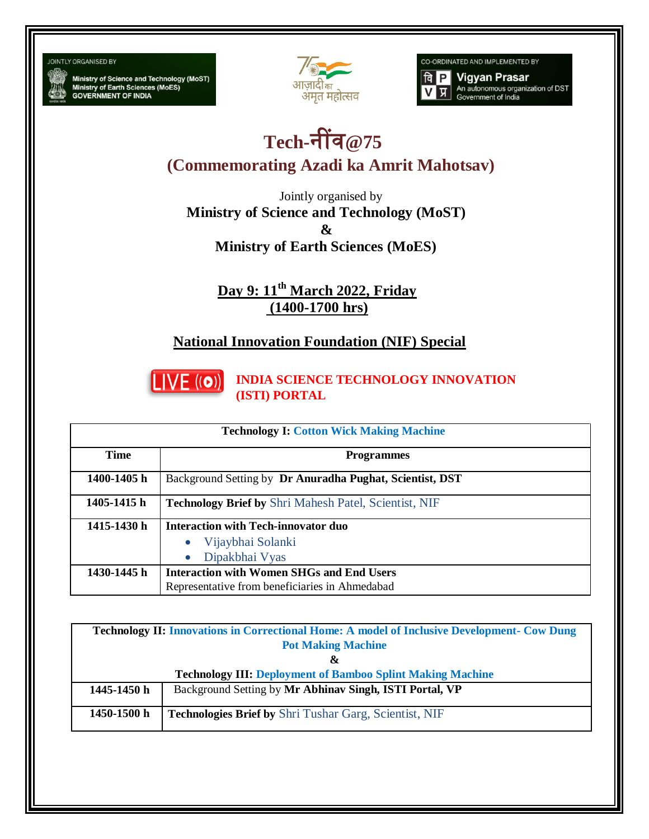JOINTLY ORGANISED BY

Ministry of Science and Technology (MoST)<br>Ministry of Earth Sciences (MoES)<br>GOVERNMENT OF INDIA



CO-ORDINATED AND IMPLEMENTED BY



## **Tech-**नींव**@75**

**(Commemorating Azadi ka Amrit Mahotsav)**

Jointly organised by **Ministry of Science and Technology (MoST) & Ministry of Earth Sciences (MoES)**

> **Day 9: 11th March 2022, Friday (1400-1700 hrs)**

## **National Innovation Foundation (NIF) Special**



**INDIA SCIENCE TECHNOLOGY INNOVATION (ISTI) PORTAL**

| <b>Technology I: Cotton Wick Making Machine</b> |                                                                                                    |  |
|-------------------------------------------------|----------------------------------------------------------------------------------------------------|--|
| <b>Time</b>                                     | <b>Programmes</b>                                                                                  |  |
| 1400-1405 h                                     | Background Setting by Dr Anuradha Pughat, Scientist, DST                                           |  |
| 1405-1415 h                                     | <b>Technology Brief by Shri Mahesh Patel, Scientist, NIF</b>                                       |  |
| 1415-1430 h                                     | <b>Interaction with Tech-innovator duo</b><br>Vijaybhai Solanki<br>Dipakbhai Vyas                  |  |
| 1430-1445 h                                     | <b>Interaction with Women SHGs and End Users</b><br>Representative from beneficiaries in Ahmedabad |  |

| <b>Technology II: Innovations in Correctional Home: A model of Inclusive Development- Cow Dung</b> |                                                               |  |
|----------------------------------------------------------------------------------------------------|---------------------------------------------------------------|--|
| <b>Pot Making Machine</b>                                                                          |                                                               |  |
| &                                                                                                  |                                                               |  |
| <b>Technology III: Deployment of Bamboo Splint Making Machine</b>                                  |                                                               |  |
| 1445-1450 h                                                                                        | Background Setting by Mr Abhinav Singh, ISTI Portal, VP       |  |
| 1450-1500 h                                                                                        | <b>Technologies Brief by Shri Tushar Garg, Scientist, NIF</b> |  |